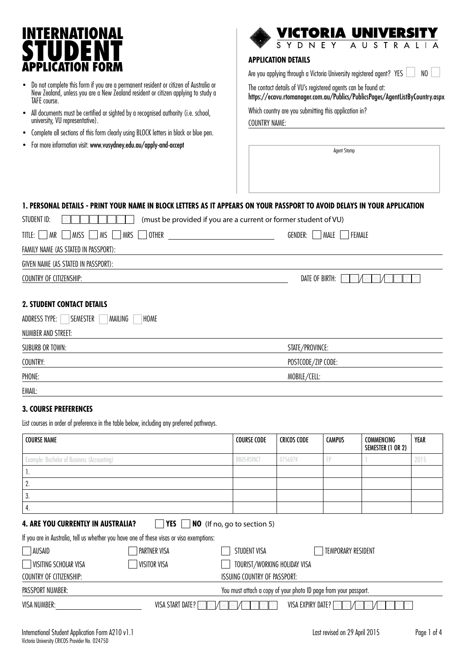# ITERNATIONAL **STUDENT APPLICATION FORM APPLICATION DETAILS**

- Do not complete this form if you are a permanent resident or citizen of Australia or New Zealand, unless you are a New Zealand resident or citizen applying to study a TAFE course.
- All documents must be certified or sighted by a recognised authority (i.e. school, university, VU representative).
- Complete all sections of this form clearly using BLOCK letters in black or blue pen.
- For more information visit: www.vusydney.edu.au/apply-and-accept



Are you applying through a Victoria University registered agent? YES NO

The contact details of VU's registered agents can be found at:

https://ecavu.rtomanager.com.au/Publics/PublicsPages/AgentListByCountry.aspx

Which country are you submitting this application in?

COUNTRY NAME:

Agent Stamp

## **1. PERSONAL DETAILS - Print your name in BLOCK letters as it appears on your passport to avoid delays in your application**

| STUDENT ID:<br>(must be provided if you are a current or former student of VU) |                                                 |  |  |
|--------------------------------------------------------------------------------|-------------------------------------------------|--|--|
| TITLE: $\Box$ MR     MISS     MS     MRS    <br>  OTHER                        | MALE   FEMALE<br>GENDER:                        |  |  |
| FAMILY NAME (AS STATED IN PASSPORT):                                           |                                                 |  |  |
| GIVEN NAME (AS STATED IN PASSPORT):                                            |                                                 |  |  |
| COUNTRY OF CITIZENSHIP:                                                        | DATE OF BIRTH: <b>DI</b><br>IDIAMIMIAYI<br>Y MY |  |  |
| <b>2. STUDENT CONTACT DETAILS</b>                                              |                                                 |  |  |

| ADDRESS TYPE:<br><b>SEMESTER</b><br>MAILING<br>HOME |                    |  |
|-----------------------------------------------------|--------------------|--|
| NUMBER AND STREET:                                  |                    |  |
| SUBURB OR TOWN:                                     | STATE/PROVINCE:    |  |
| COUNTRY:                                            | POSTCODE/ZIP CODE: |  |
| PHONE:                                              | MOBILE/CELL:       |  |
| EMAIL:                                              |                    |  |

### **3. COURSE PREFERENCES**

List courses in order of preference in the table below, including any preferred pathways.

| <b>COURSE NAME</b>                                                                | <b>COURSE CODE</b> | CRICOS CODE | <b>CAMPUS</b> | COMMENCING<br>SEMESTER (1 OR 2) | YEAR |
|-----------------------------------------------------------------------------------|--------------------|-------------|---------------|---------------------------------|------|
| Example: Bachelor of Business (Accounting)                                        | <b>BBUS-BSPACT</b> | 075687K     |               |                                 | 2015 |
| ٠.                                                                                |                    |             |               |                                 |      |
| L.                                                                                |                    |             |               |                                 |      |
| υ.                                                                                |                    |             |               |                                 |      |
| 4.                                                                                |                    |             |               |                                 |      |
| YES I<br><b>4. ARE YOU CURRENTLY IN AUSTRALIA?</b><br>NO (If no, go to section 5) |                    |             |               |                                 |      |

If you are in Australia, tell us whether you have one of these visas or visa exemptions:

| AUSAID                  | PARTNER VISA                                                     | STUDENT VISA<br><b>TEMPORARY RESIDENT</b> |  |  |
|-------------------------|------------------------------------------------------------------|-------------------------------------------|--|--|
| VISITING SCHOLAR VISA   | <b>VISITOR VISA</b>                                              | TOURIST/WORKING HOLIDAY VISA              |  |  |
| COUNTRY OF CITIZENSHIP: |                                                                  | ISSUING COUNTRY OF PASSPORT:              |  |  |
| PASSPORT NUMBER:        | You must attach a copy of your photo ID page from your passport. |                                           |  |  |
| VISA NUMBER:            | VISA START DATE?                                                 | VISA EXPIRY DATE?                         |  |  |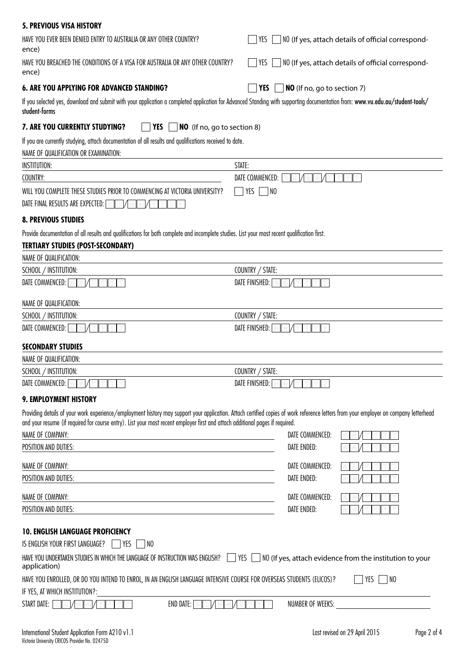| <b>5. PREVIOUS VISA HISTORY</b>                                                                                                                                                                                                                                                                                        |                                                                   |
|------------------------------------------------------------------------------------------------------------------------------------------------------------------------------------------------------------------------------------------------------------------------------------------------------------------------|-------------------------------------------------------------------|
| HAVE YOU EVER BEEN DENIED ENTRY TO AUSTRALIA OR ANY OTHER COUNTRY?<br>ence)                                                                                                                                                                                                                                            | $YES$ $\Box$ NO (If yes, attach details of official correspond-   |
| HAVE YOU BREACHED THE CONDITIONS OF A VISA FOR AUSTRALIA OR ANY OTHER COUNTRY?<br>ence)                                                                                                                                                                                                                                | $ $ YES $ $<br>NO (If yes, attach details of official correspond- |
| <b>6. ARE YOU APPLYING FOR ADVANCED STANDING?</b>                                                                                                                                                                                                                                                                      | <b>YES</b><br>NO (If no, go to section 7)                         |
| If you selected yes, download and submit with your application a completed application for Advanced Standing with supporting documentation from: www.vu.edu.au/student-tools/<br>student-forms                                                                                                                         |                                                                   |
| <b>7. ARE YOU CURRENTLY STUDYING?</b><br>YES<br>NO (If no, go to section 8)                                                                                                                                                                                                                                            |                                                                   |
| If you are currently studying, attach documentation of all results and qualifications received to date.<br>NAME OF QUALIFICATION OR EXAMINATION:                                                                                                                                                                       |                                                                   |
| INSTITUTION:                                                                                                                                                                                                                                                                                                           | STATE:                                                            |
| COUNTRY:                                                                                                                                                                                                                                                                                                               | DATE COMMENCED:<br>ID)<br>$ D\rangle$                             |
| WILL YOU COMPLETE THESE STUDIES PRIOR TO COMMENCING AT VICTORIA UNIVERSITY?<br>DATE FINAL RESULTS ARE EXPECTED: DIDI/M<br>M                                                                                                                                                                                            | YES<br>$\overline{\phantom{1}}$ NO                                |
| <b>8. PREVIOUS STUDIES</b>                                                                                                                                                                                                                                                                                             |                                                                   |
| Provide documentation of all results and qualifications for both complete and incomplete studies. List your most recent qualification first.<br><b>TERTIARY STUDIES (POST-SECONDARY)</b>                                                                                                                               |                                                                   |
| NAME OF QUALIFICATION:                                                                                                                                                                                                                                                                                                 |                                                                   |
| SCHOOL / INSTITUTION:                                                                                                                                                                                                                                                                                                  | COUNTRY / STATE:                                                  |
| DATE COMMENCED: M<br>I MA                                                                                                                                                                                                                                                                                              | <b>DATE FINISHED:</b> MIMI                                        |
| NAME OF QUALIFICATION:                                                                                                                                                                                                                                                                                                 |                                                                   |
| SCHOOL / INSTITUTION:                                                                                                                                                                                                                                                                                                  | COUNTRY / STATE:                                                  |
| DATE COMMENCED: M                                                                                                                                                                                                                                                                                                      | DATE FINISHED: MIMI                                               |
| <b>SECONDARY STUDIES</b>                                                                                                                                                                                                                                                                                               |                                                                   |
| NAME OF QUALIFICATION:                                                                                                                                                                                                                                                                                                 |                                                                   |
| SCHOOL / INSTITUTION:                                                                                                                                                                                                                                                                                                  | COUNTRY / STATE:                                                  |
| DATE COMMENCED: MIM                                                                                                                                                                                                                                                                                                    | DATE FINISHED: MIM                                                |
| 9. EMPLOYMENT HISTORY                                                                                                                                                                                                                                                                                                  |                                                                   |
| Providing details of your work experience/employment history may support your application. Attach certified copies of work reference letters from your employer on company letterhead<br>and your resume (if required for course entry). List your most recent employer first and attach additional pages if required. |                                                                   |
| NAME OF COMPANY:<br><u> 1980 - Johann Stoff, deutscher Stoffen und der Stoffen und der Stoffen und der Stoffen und der Stoffen und de</u>                                                                                                                                                                              | DATE COMMENCED:                                                   |
| POSITION AND DUTIES:                                                                                                                                                                                                                                                                                                   | DATE ENDED:                                                       |
| NAME OF COMPANY:                                                                                                                                                                                                                                                                                                       | DATE COMMENCED:                                                   |
| <u> 1989 - Johann Stein, mars an deus an deus Amerikaanse komme van de Fryske komme</u><br>POSITION AND DUTIES:<br><u> 1989 - Johann Barn, mars ann an t-Amhain Aonaich an t-Aonaich an t-Aonaich ann an t-Aonaich ann an t-Aonaich</u>                                                                                | DATE ENDED:                                                       |
| NAME OF COMPANY:<br><u> 1989 - Johann Barn, amerikansk politiker (d. 1989)</u>                                                                                                                                                                                                                                         | DATE COMMENCED:                                                   |
| POSITION AND DUTIES:                                                                                                                                                                                                                                                                                                   | <b>DATE ENDED:</b>                                                |
|                                                                                                                                                                                                                                                                                                                        |                                                                   |
| <b>10. ENGLISH LANGUAGE PROFICIENCY</b>                                                                                                                                                                                                                                                                                |                                                                   |
| IS ENGLISH YOUR FIRST LANGUAGE?     YES<br>  NO                                                                                                                                                                                                                                                                        |                                                                   |
| HAVE YOU UNDERTAKEN STUDIES IN WHICH THE LANGUAGE OF INSTRUCTION WAS ENGLISH?   YES<br>application)                                                                                                                                                                                                                    | $\vert$ N0 (If yes, attach evidence from the institution to your  |
| HAVE YOU ENROLLED, OR DO YOU INTEND TO ENROL, IN AN ENGLISH LANGUAGE INTENSIVE COURSE FOR OVERSEAS STUDENTS (ELICOS)?<br>IF YES, AT WHICH INSTITUTION?:                                                                                                                                                                | YES<br>$\overline{\phantom{0}}$ NO                                |
| START DATE: $\boxed{\circ}$ $\boxed{\circ}$ /<br>END DATE: $\boxed{\odot}$ $\boxed{\odot}$ $\boxed{\odot}$ $\boxed{\odot}$<br>IMIZ<br>M                                                                                                                                                                                | NUMBER OF WEEKS:<br><u> 1989 - Andrea Andrew Maria (b. 1989)</u>  |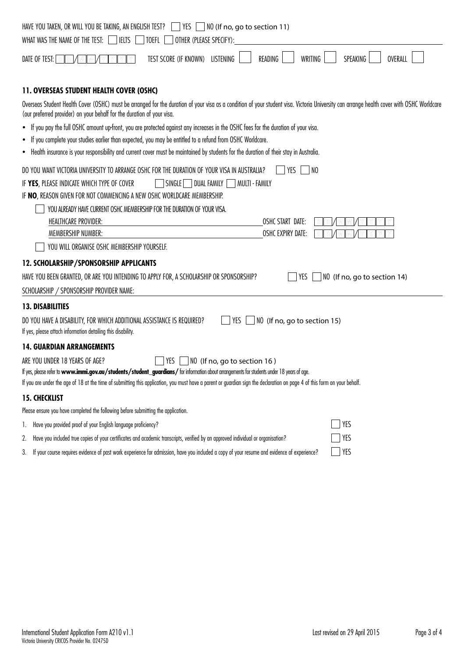| HAVE YOU TAKEN, OR WILL YOU BE TAKING, AN ENGLISH TEST?<br>$ $ YES $ $ $ $ NO (If no, go to section 11)<br>$\mathbf{I}$                                                                                                                                             |
|---------------------------------------------------------------------------------------------------------------------------------------------------------------------------------------------------------------------------------------------------------------------|
| WHAT WAS THE NAME OF THE TEST:  <br><b>IELTS</b><br>TOEFL<br>OTHER (PLEASE SPECIFY):                                                                                                                                                                                |
| WRITING<br>SPEAKING<br>TEST SCORE (IF KNOWN)<br><b>LISTENING</b><br>READING<br><b>OVERALL</b><br>DATE OF TEST: $\boxed{\mathbb{D}}$                                                                                                                                 |
| <b>11. OVERSEAS STUDENT HEALTH COVER (OSHC)</b>                                                                                                                                                                                                                     |
| Overseas Student Health Cover (OSHC) must be arranged for the duration of your visa as a condition of your student visa. Victoria University can arrange health cover with OSHC Worldcare<br>(our preferred provider) on your behalf for the duration of your visa. |
| • If you pay the full OSHC amount up-front, you are protected against any increases in the OSHC fees for the duration of your visa.                                                                                                                                 |
| • If you complete your studies earlier than expected, you may be entitled to a refund from OSHC Worldcare.                                                                                                                                                          |
| • Health insurance is your responsibility and current cover must be maintained by students for the duration of their stay in Australia.                                                                                                                             |
| DO YOU WANT VICTORIA UNIVERSITY TO ARRANGE OSHC FOR THE DURATION OF YOUR VISA IN AUSTRALIA?<br>YES<br>NO                                                                                                                                                            |
| IF YES, PLEASE INDICATE WHICH TYPE OF COVER<br>SINGLE<br>DUAL FAMILY<br>  MULTI - FAMILY                                                                                                                                                                            |
| IF NO, REASON GIVEN FOR NOT COMMENCING A NEW OSHC WORLDCARE MEMBERSHIP.                                                                                                                                                                                             |
| YOU ALREADY HAVE CURRENT OSHC MEMBERSHIP FOR THE DURATION OF YOUR VISA.                                                                                                                                                                                             |
| HEALTHCARE PROVIDER:<br>OSHC START DATE:                                                                                                                                                                                                                            |
| MEMBERSHIP NUMBER:<br><b>OSHC EXPIRY DATE:</b>                                                                                                                                                                                                                      |
| YOU WILL ORGANISE OSHC MEMBERSHIP YOURSELF.                                                                                                                                                                                                                         |
| <b>12. SCHOLARSHIP/SPONSORSHIP APPLICANTS</b>                                                                                                                                                                                                                       |
| HAVE YOU BEEN GRANTED, OR ARE YOU INTENDING TO APPLY FOR, A SCHOLARSHIP OR SPONSORSHIP?<br>NO (If no, go to section 14)<br>YES                                                                                                                                      |
| SCHOLARSHIP / SPONSORSHIP PROVIDER NAME:                                                                                                                                                                                                                            |
| <b>13. DISABILITIES</b>                                                                                                                                                                                                                                             |
| DO YOU HAVE A DISABILITY, FOR WHICH ADDITIONAL ASSISTANCE IS REQUIRED?<br>YES<br>NO (If no, go to section 15)                                                                                                                                                       |
| If yes, please attach information detailing this disability.                                                                                                                                                                                                        |
| <b>14. GUARDIAN ARRANGEMENTS</b>                                                                                                                                                                                                                                    |
| ARE YOU UNDER 18 YEARS OF AGE?<br>YES<br>NO (If no, go to section 16)                                                                                                                                                                                               |
| If yes, please refer to www.immi.gov.au/students/student_guardians/ for information about arrangements for students under 18 years of age.                                                                                                                          |
| If you are under the age of 18 at the time of submitting this application, you must have a parent or guardian sign the declaration on page 4 of this form on your behalf.                                                                                           |
| <b>15. CHECKLIST</b>                                                                                                                                                                                                                                                |
| Please ensure you have completed the following before submitting the application.                                                                                                                                                                                   |
| YES<br>1. Have you provided proof of your English language proficiency?                                                                                                                                                                                             |
| YES<br>Have you included true copies of your certificates and academic transcripts, verified by an approved individual or organisation?<br>2.                                                                                                                       |
| YES<br>If your course requires evidence of past work experience for admission, have you included a copy of your resume and evidence of experience?<br>3.                                                                                                            |